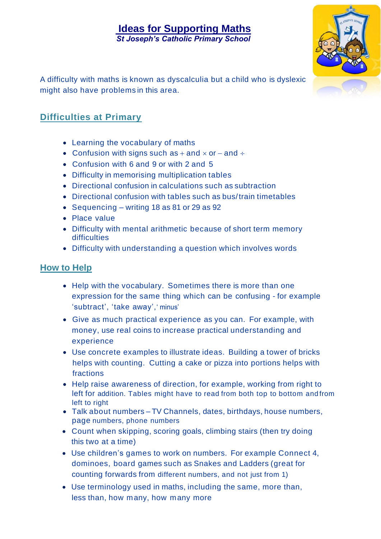## **Ideas for Supporting Maths** *St Joseph's Catholic Primary School*



A difficulty with maths is known as dyscalculia but a child who is dyslexic might also have problems in this area.

## **Difficulties at Primary**

- Learning the vocabulary of maths
- Confusion with signs such as + and  $\times$  or and  $\div$
- Confusion with 6 and 9 or with 2 and 5
- Difficulty in memorising multiplication tables
- Directional confusion in calculations such as subtraction
- Directional confusion with tables such as bus/train timetables
- Sequencing writing 18 as 81 or 29 as 92
- Place value
- Difficulty with mental arithmetic because of short term memory **difficulties**
- Difficulty with understanding a question which involves words

## **How to Help**

- Help with the vocabulary. Sometimes there is more than one expression for the same thing which can be confusing - for example 'subtract', 'take away',' minus'
- Give as much practical experience as you can. For example, with money, use real coins to increase practical understanding and experience
- Use concrete examples to illustrate ideas. Building a tower of bricks helps with counting. Cutting a cake or pizza into portions helps with fractions
- Help raise awareness of direction, for example, working from right to left for addition. Tables might have to read from both top to bottom and from left to right
- Talk about numbers TV Channels, dates, birthdays, house numbers, page numbers, phone numbers
- Count when skipping, scoring goals, climbing stairs (then try doing this two at a time)
- Use children's games to work on numbers. For example Connect 4, dominoes, board games such as Snakes and Ladders (great for counting forwards from different numbers, and not just from 1)
- Use terminology used in maths, including the same, more than, less than, how many, how many more